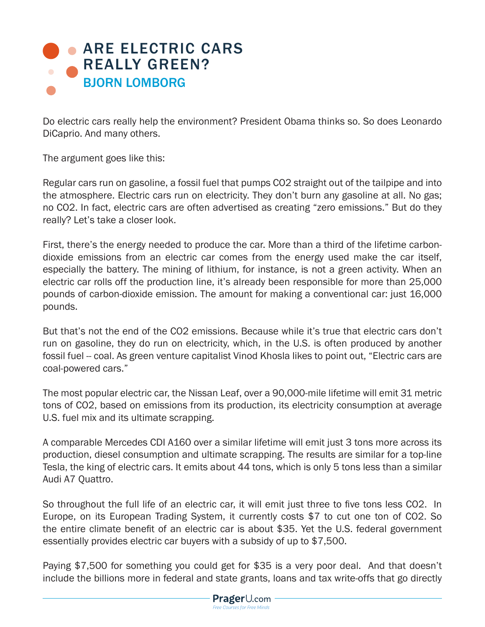## **[ARE ELECTRIC CARS](https://www.prageru.com/courses/environmental-science/are-electric-cars-really-green)** REALLY GREEN? BJORN LOMBORG

Do electric cars really help the environment? President Obama thinks so. So does Leonardo DiCaprio. And many others.

The argument goes like this:

Regular cars run on gasoline, a fossil fuel that pumps CO2 straight out of the tailpipe and into the atmosphere. Electric cars run on electricity. They don't burn any gasoline at all. No gas; no CO2. In fact, electric cars are often advertised as creating "zero emissions." But do they really? Let's take a closer look.

First, there's the energy needed to produce the car. More than a third of the lifetime carbondioxide emissions from an electric car comes from the energy used make the car itself, especially the battery. The mining of lithium, for instance, is not a green activity. When an electric car rolls off the production line, it's already been responsible for more than 25,000 pounds of carbon-dioxide emission. The amount for making a conventional car: just 16,000 pounds.

But that's not the end of the CO2 emissions. Because while it's true that electric cars don't run on gasoline, they do run on electricity, which, in the U.S. is often produced by another fossil fuel -- coal. As green venture capitalist Vinod Khosla likes to point out, "Electric cars are coal-powered cars."

The most popular electric car, the Nissan Leaf, over a 90,000-mile lifetime will emit 31 metric tons of CO2, based on emissions from its production, its electricity consumption at average U.S. fuel mix and its ultimate scrapping.

A comparable Mercedes CDI A160 over a similar lifetime will emit just 3 tons more across its production, diesel consumption and ultimate scrapping. The results are similar for a top-line Tesla, the king of electric cars. It emits about 44 tons, which is only 5 tons less than a similar Audi A7 Quattro.

So throughout the full life of an electric car, it will emit just three to five tons less CO2. In Europe, on its European Trading System, it currently costs \$7 to cut one ton of CO2. So the entire climate benefit of an electric car is about \$35. Yet the U.S. federal government essentially provides electric car buyers with a subsidy of up to \$7,500.

Paying \$7,500 for something you could get for \$35 is a very poor deal. And that doesn't include the billions more in federal and state grants, loans and tax write-offs that go directly